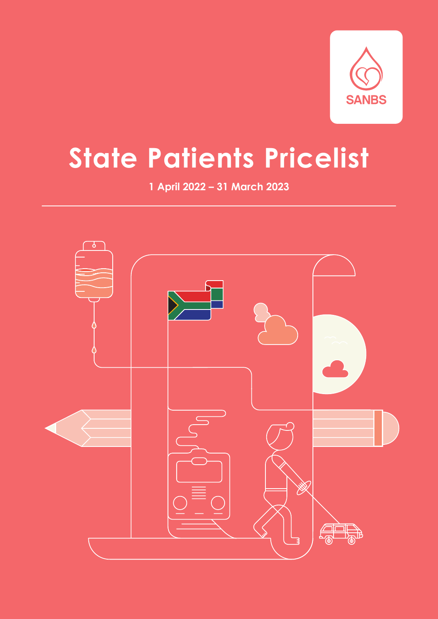

# **State Patients Pricelist**

**1 April 2022 – 31 March 2023**

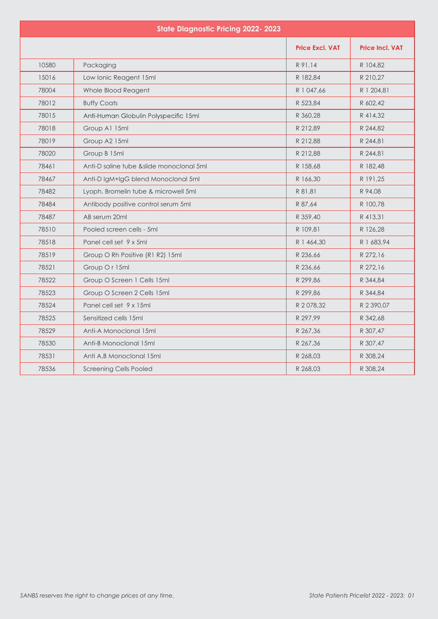| <b>State Diagnostic Pricing 2022-2023</b> |                                           |                        |                        |  |
|-------------------------------------------|-------------------------------------------|------------------------|------------------------|--|
|                                           |                                           | <b>Price Excl. VAT</b> | <b>Price Incl. VAT</b> |  |
| 10580                                     | Packaging                                 | R 91,14                | R 104,82               |  |
| 15016                                     | Low Ionic Reagent 15ml                    | R 182,84               | R 210.27               |  |
| 78004                                     | Whole Blood Reagent                       | R 1 047,66             | R 1 204,81             |  |
| 78012                                     | <b>Buffy Coats</b>                        | R 523,84               | R 602,42               |  |
| 78015                                     | Anti-Human Globulin Polyspecific 15ml     | R 360,28               | R 414,32               |  |
| 78018                                     | Group A1 15ml                             | R 212,89               | R 244,82               |  |
| 78019                                     | Group A2 15ml                             | R 212,88               | R 244,81               |  |
| 78020                                     | Group B 15ml                              | R 212,88               | R 244,81               |  |
| 78461                                     | Anti-D saline tube & slide monoclonal 5ml | R 158,68               | R 182,48               |  |
| 78467                                     | Anti-D IgM+IgG blend Monoclonal 5ml       | R 166,30               | R 191,25               |  |
| 78482                                     | Lyoph. Bromelin tube & microwell 5ml      | R 81,81                | R 94.08                |  |
| 78484                                     | Antibody positive control serum 5ml       | R 87,64                | R 100,78               |  |
| 78487                                     | AB serum 20ml                             | R 359,40               | R 413,31               |  |
| 78510                                     | Pooled screen cells - 5ml                 | R 109,81               | R 126,28               |  |
| 78518                                     | Panel cell set 9 x 5ml                    | R 1 464.30             | R 1 683.94             |  |
| 78519                                     | Group O Rh Positive (R1 R2) 15ml          | R 236,66               | R 272,16               |  |
| 78521                                     | Group Or 15ml                             | R 236.66               | R 272,16               |  |
| 78522                                     | Group O Screen 1 Cells 15ml               | R 299,86               | R 344,84               |  |
| 78523                                     | Group O Screen 2 Cells 15ml               | R 299,86               | R 344,84               |  |
| 78524                                     | Panel cell set 9 x 15ml                   | R 2078,32              | R 2 390,07             |  |
| 78525                                     | Sensitized cells 15ml                     | R 297.99               | R 342.68               |  |
| 78529                                     | Anti-A Monoclonal 15ml                    | R 267,36               | R 307,47               |  |
| 78530                                     | Anti-B Monoclonal 15ml                    | R 267,36               | R 307,47               |  |
| 78531                                     | Anti A.B Monoclonal 15ml                  | R 268,03               | R 308.24               |  |
| 78536                                     | <b>Screening Cells Pooled</b>             | R 268,03               | R 308,24               |  |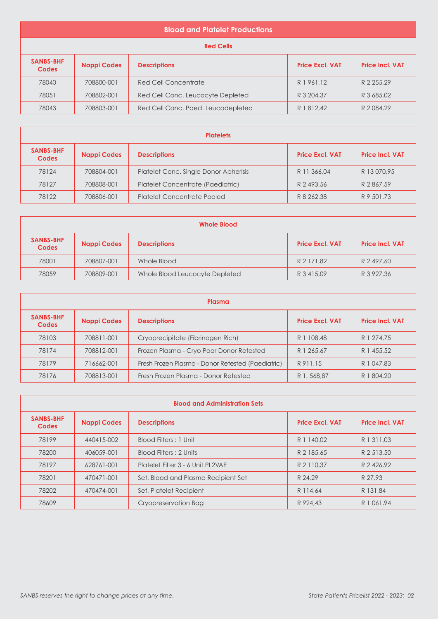| <b>Blood and Platelet Productions</b> |                    |                                    |                        |                        |
|---------------------------------------|--------------------|------------------------------------|------------------------|------------------------|
| <b>Red Cells</b>                      |                    |                                    |                        |                        |
| <b>SANBS-BHF</b><br><b>Codes</b>      | <b>Nappi Codes</b> | <b>Descriptions</b>                | <b>Price Excl. VAT</b> | <b>Price Incl. VAT</b> |
| 78040                                 | 708800-001         | Red Cell Concentrate               | R1961.12               | R 2 255.29             |
| 78051                                 | 708802-001         | Red Cell Conc. Leucocyte Depleted  | R 3 204.37             | R 3 685,02             |
| 78043                                 | 708803-001         | Red Cell Conc. Paed. Leucodepleted | R 1 812,42             | R 2084,29              |

| <b>Platelets</b>                 |                    |                                       |                        |                        |
|----------------------------------|--------------------|---------------------------------------|------------------------|------------------------|
| <b>SANBS-BHF</b><br><b>Codes</b> | <b>Nappi Codes</b> | <b>Descriptions</b>                   | <b>Price Excl. VAT</b> | <b>Price Incl. VAT</b> |
| 78124                            | 708804-001         | Platelet Conc. Single Donor Apherisis | R 11 366.04            | R 13 070.95            |
| 78127                            | 708808-001         | Platelet Concentrate (Paediatric)     | R 2493.56              | R 2867.59              |
| 78122                            | 708806-001         | <b>Platelet Concentrate Pooled</b>    | R 8 262.38             | R 9 501.73             |

| <b>Whole Blood</b>               |                    |                                |                        |                        |
|----------------------------------|--------------------|--------------------------------|------------------------|------------------------|
| <b>SANBS-BHF</b><br><b>Codes</b> | <b>Nappi Codes</b> | <b>Descriptions</b>            | <b>Price Excl. VAT</b> | <b>Price Incl. VAT</b> |
| 78001                            | 708807-001         | Whole Blood                    | R 2 171.82             | R 2 497,60             |
| 78059                            | 708809-001         | Whole Blood Leucocyte Depleted | R 3 415,09             | R 3 927,36             |

| Plasma                           |                    |                                                   |                        |                        |
|----------------------------------|--------------------|---------------------------------------------------|------------------------|------------------------|
| <b>SANBS-BHF</b><br><b>Codes</b> | <b>Nappi Codes</b> | <b>Descriptions</b>                               | <b>Price Excl. VAT</b> | <b>Price Incl. VAT</b> |
| 78103                            | 708811-001         | Cryoprecipitate (Fibrinogen Rich)                 | R 1 108.48             | R 1 274.75             |
| 78174                            | 708812-001         | Frozen Plasma - Cryo Poor Donor Retested          | R 1 265.67             | R 1 455,52             |
| 78179                            | 716662-001         | Fresh Frozen Plasma - Donor Retested (Paediatric) | R 911.15               | R 1 047.83             |
| 78176                            | 708813-001         | Fresh Frozen Plasma - Donor Retested              | R 1, 568,87            | R 1 804.20             |

| <b>Blood and Administration Sets</b> |                    |                                     |                        |                        |
|--------------------------------------|--------------------|-------------------------------------|------------------------|------------------------|
| <b>SANBS-BHF</b><br><b>Codes</b>     | <b>Nappi Codes</b> | <b>Descriptions</b>                 | <b>Price Excl. VAT</b> | <b>Price Incl. VAT</b> |
| 78199                                | 440415-002         | Blood Filters: 1 Unit               | R 1 140.02             | R 1 311.03             |
| 78200                                | 406059-001         | Blood Filters: 2 Units              | R 2 185.65             | R 2 513.50             |
| 78197                                | 628761-001         | Platelet Filter 3 - 6 Unit PL2VAE   | R 2 110.37             | R 2 426.92             |
| 78201                                | 470471-001         | Set, Blood and Plasma Recipient Set | R 24.29                | R 27.93                |
| 78202                                | 470474-001         | Set, Platelet Recipient             | R 114.64               | R 131,84               |
| 78609                                |                    | Cryopreservation Bag                | R 924.43               | R 1 061.94             |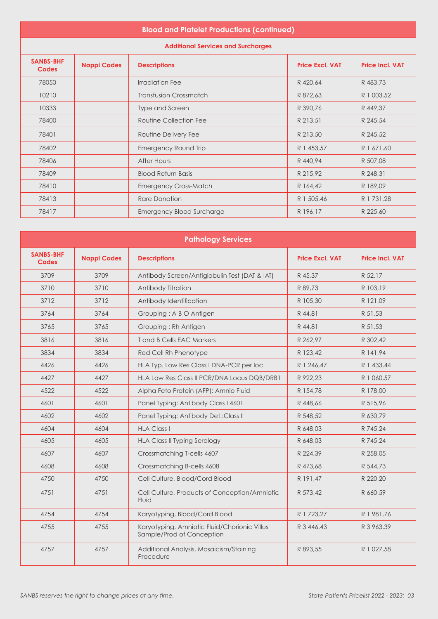## **Blood and Platelet Productions (continued)**

**Additional Services and Surcharges**

| <b>SANBS-BHF</b><br><b>Codes</b> | <b>Nappi Codes</b> | <b>Descriptions</b>              | <b>Price Excl. VAT</b> | <b>Price Incl. VAT</b> |
|----------------------------------|--------------------|----------------------------------|------------------------|------------------------|
| 78050                            |                    | Irradiation Fee                  | R 420,64               | R 483,73               |
| 10210                            |                    | <b>Transfusion Crossmatch</b>    | R 872,63               | R 1 003,52             |
| 10333                            |                    | Type and Screen                  | R 390.76               | R 449,37               |
| 78400                            |                    | Routine Collection Fee           | R 213,51               | R 245,54               |
| 78401                            |                    | Routine Delivery Fee             | R 213,50               | R 245,52               |
| 78402                            |                    | Emergency Round Trip             | R 1 453,57             | R 1 671,60             |
| 78406                            |                    | After Hours                      | R 440,94               | R 507,08               |
| 78409                            |                    | <b>Blood Return Basis</b>        | R 215,92               | R 248,31               |
| 78410                            |                    | <b>Emergency Cross-Match</b>     | R 164,42               | R 189,09               |
| 78413                            |                    | Rare Donation                    | R 1 505,46             | R 1 731,28             |
| 78417                            |                    | <b>Emergency Blood Surcharge</b> | R 196,17               | R 225,60               |

| <b>Pathology Services</b>        |                    |                                                                           |                        |                        |
|----------------------------------|--------------------|---------------------------------------------------------------------------|------------------------|------------------------|
| <b>SANBS-BHF</b><br><b>Codes</b> | <b>Nappi Codes</b> | <b>Descriptions</b>                                                       | <b>Price Excl. VAT</b> | <b>Price Incl. VAT</b> |
| 3709                             | 3709               | Antibody Screen/Antiglobulin Test (DAT & IAT)                             | R 45.37                | R 52,17                |
| 3710                             | 3710               | Antibody Titration                                                        | R 89.73                | R 103.19               |
| 3712                             | 3712               | Antibody Identification                                                   | R 105,30               | R 121,09               |
| 3764                             | 3764               | Grouping: A B O Antigen                                                   | R 44,81                | R 51,53                |
| 3765                             | 3765               | Grouping: Rh Antigen                                                      | R 44,81                | R 51,53                |
| 3816                             | 3816               | T and B Cells EAC Markers                                                 | R 262.97               | R 302.42               |
| 3834                             | 3834               | Red Cell Rh Phenotype                                                     | R 123.42               | R 141.94               |
| 4426                             | 4426               | HLA Typ. Low Res Class I DNA-PCR per loc                                  | R 1 246.47             | R 1 433,44             |
| 4427                             | 4427               | HLA Low Res Class II PCR/DNA Locus DQB/DRB1                               | R 922.23               | R 1 060,57             |
| 4522                             | 4522               | Alpha Feto Protein (AFP): Amnio Fluid                                     | R 154,78               | R 178,00               |
| 4601                             | 4601               | Panel Typing: Antibody Class I 4601                                       | R 448,66               | R 515,96               |
| 4602                             | 4602               | Panel Typing: Antibody Det.: Class II                                     | R 548,52               | R 630,79               |
| 4604                             | 4604               | <b>HLA Class I</b>                                                        | R 648,03               | R 745,24               |
| 4605                             | 4605               | <b>HLA Class II Typing Serology</b>                                       | R 648,03               | R 745,24               |
| 4607                             | 4607               | Crossmatching T-cells 4607                                                | R 224.39               | R 258,05               |
| 4608                             | 4608               | Crossmatching B-cells 4608                                                | R 473,68               | R 544,73               |
| 4750                             | 4750               | Cell Culture, Blood/Cord Blood                                            | R 191,47               | R 220,20               |
| 4751                             | 4751               | Cell Culture, Products of Conception/Amniotic<br>Fluid                    | R 573,42               | R 660,59               |
| 4754                             | 4754               | Karyotyping, Blood/Cord Blood                                             | R 1 723,27             | R 1 981,76             |
| 4755                             | 4755               | Karyotyping, Amniotic Fluid/Chorionic Villus<br>Sample/Prod of Conception | R 3 446,43             | R 3 963,39             |
| 4757                             | 4757               | Additional Analysis, Mosaicism/Staining<br>Procedure                      | R 893,55               | R 1 027,58             |